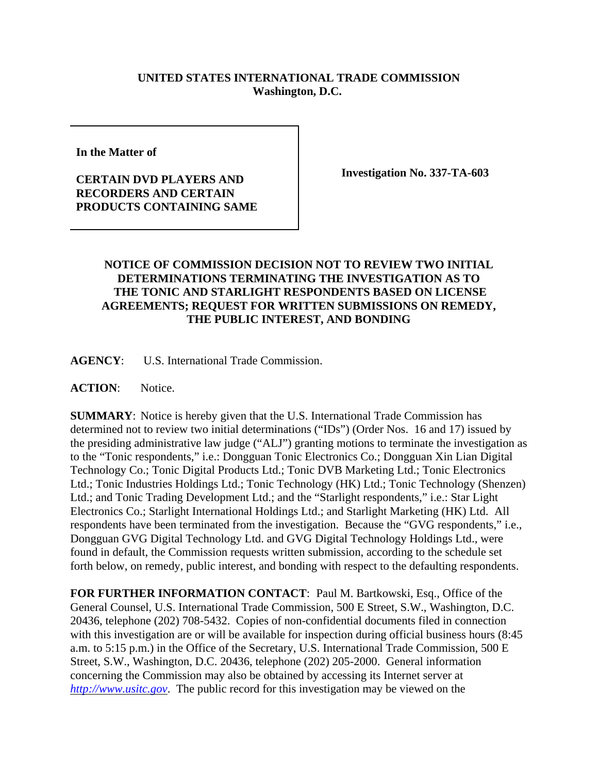## **UNITED STATES INTERNATIONAL TRADE COMMISSION Washington, D.C.**

**In the Matter of** 

## **CERTAIN DVD PLAYERS AND RECORDERS AND CERTAIN PRODUCTS CONTAINING SAME**

**Investigation No. 337-TA-603**

## **NOTICE OF COMMISSION DECISION NOT TO REVIEW TWO INITIAL DETERMINATIONS TERMINATING THE INVESTIGATION AS TO THE TONIC AND STARLIGHT RESPONDENTS BASED ON LICENSE AGREEMENTS; REQUEST FOR WRITTEN SUBMISSIONS ON REMEDY, THE PUBLIC INTEREST, AND BONDING**

**AGENCY**: U.S. International Trade Commission.

**ACTION**: Notice.

**SUMMARY**: Notice is hereby given that the U.S. International Trade Commission has determined not to review two initial determinations ("IDs") (Order Nos. 16 and 17) issued by the presiding administrative law judge ("ALJ") granting motions to terminate the investigation as to the "Tonic respondents," i.e.: Dongguan Tonic Electronics Co.; Dongguan Xin Lian Digital Technology Co.; Tonic Digital Products Ltd.; Tonic DVB Marketing Ltd.; Tonic Electronics Ltd.; Tonic Industries Holdings Ltd.; Tonic Technology (HK) Ltd.; Tonic Technology (Shenzen) Ltd.; and Tonic Trading Development Ltd.; and the "Starlight respondents," i.e.: Star Light Electronics Co.; Starlight International Holdings Ltd.; and Starlight Marketing (HK) Ltd. All respondents have been terminated from the investigation. Because the "GVG respondents," i.e., Dongguan GVG Digital Technology Ltd. and GVG Digital Technology Holdings Ltd., were found in default, the Commission requests written submission, according to the schedule set forth below, on remedy, public interest, and bonding with respect to the defaulting respondents.

**FOR FURTHER INFORMATION CONTACT**: Paul M. Bartkowski, Esq., Office of the General Counsel, U.S. International Trade Commission, 500 E Street, S.W., Washington, D.C. 20436, telephone (202) 708-5432. Copies of non-confidential documents filed in connection with this investigation are or will be available for inspection during official business hours (8:45) a.m. to 5:15 p.m.) in the Office of the Secretary, U.S. International Trade Commission, 500 E Street, S.W., Washington, D.C. 20436, telephone (202) 205-2000. General information concerning the Commission may also be obtained by accessing its Internet server at *http://www.usitc.gov*. The public record for this investigation may be viewed on the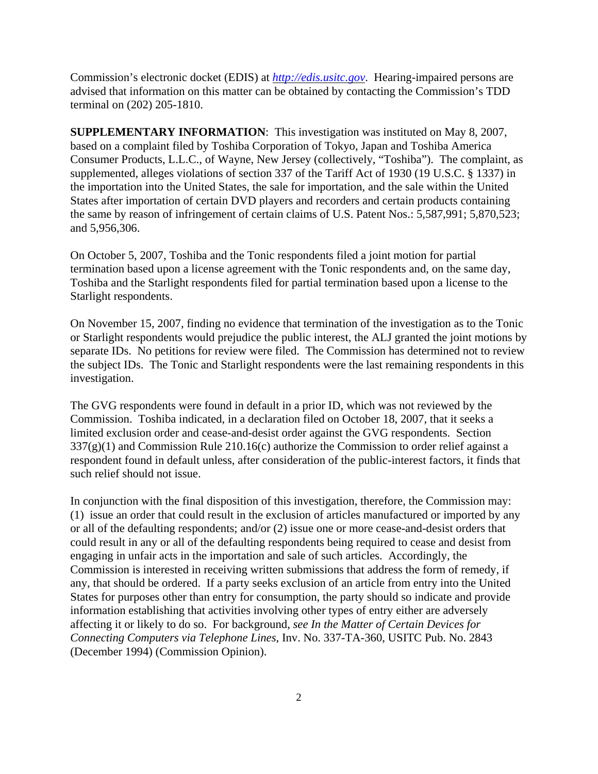Commission's electronic docket (EDIS) at *http://edis.usitc.gov*. Hearing-impaired persons are advised that information on this matter can be obtained by contacting the Commission's TDD terminal on (202) 205-1810.

**SUPPLEMENTARY INFORMATION**: This investigation was instituted on May 8, 2007, based on a complaint filed by Toshiba Corporation of Tokyo, Japan and Toshiba America Consumer Products, L.L.C., of Wayne, New Jersey (collectively, "Toshiba"). The complaint, as supplemented, alleges violations of section 337 of the Tariff Act of 1930 (19 U.S.C. § 1337) in the importation into the United States, the sale for importation, and the sale within the United States after importation of certain DVD players and recorders and certain products containing the same by reason of infringement of certain claims of U.S. Patent Nos.: 5,587,991; 5,870,523; and 5,956,306.

On October 5, 2007, Toshiba and the Tonic respondents filed a joint motion for partial termination based upon a license agreement with the Tonic respondents and, on the same day, Toshiba and the Starlight respondents filed for partial termination based upon a license to the Starlight respondents.

On November 15, 2007, finding no evidence that termination of the investigation as to the Tonic or Starlight respondents would prejudice the public interest, the ALJ granted the joint motions by separate IDs. No petitions for review were filed. The Commission has determined not to review the subject IDs. The Tonic and Starlight respondents were the last remaining respondents in this investigation.

The GVG respondents were found in default in a prior ID, which was not reviewed by the Commission. Toshiba indicated, in a declaration filed on October 18, 2007, that it seeks a limited exclusion order and cease-and-desist order against the GVG respondents. Section  $337(g)(1)$  and Commission Rule 210.16(c) authorize the Commission to order relief against a respondent found in default unless, after consideration of the public-interest factors, it finds that such relief should not issue.

In conjunction with the final disposition of this investigation, therefore, the Commission may: (1) issue an order that could result in the exclusion of articles manufactured or imported by any or all of the defaulting respondents; and/or (2) issue one or more cease-and-desist orders that could result in any or all of the defaulting respondents being required to cease and desist from engaging in unfair acts in the importation and sale of such articles. Accordingly, the Commission is interested in receiving written submissions that address the form of remedy, if any, that should be ordered. If a party seeks exclusion of an article from entry into the United States for purposes other than entry for consumption, the party should so indicate and provide information establishing that activities involving other types of entry either are adversely affecting it or likely to do so. For background, *see In the Matter of Certain Devices for Connecting Computers via Telephone Lines*, Inv. No. 337-TA-360, USITC Pub. No. 2843 (December 1994) (Commission Opinion).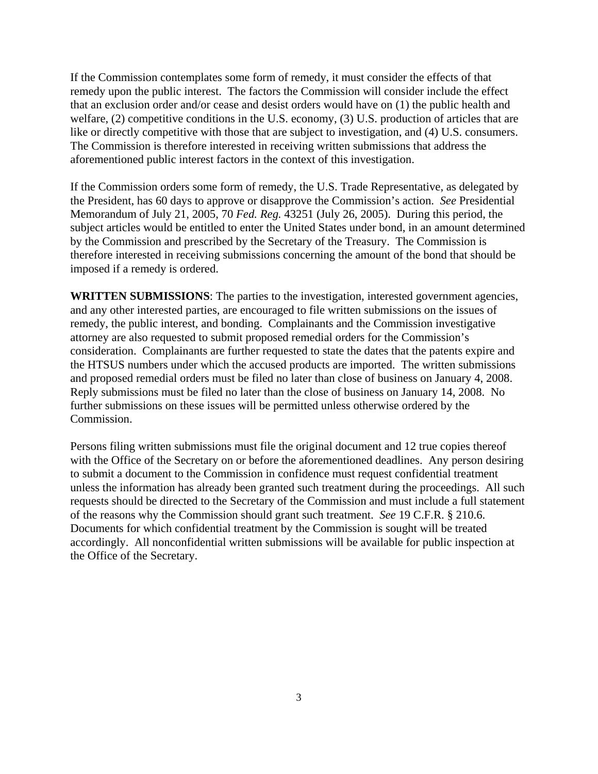If the Commission contemplates some form of remedy, it must consider the effects of that remedy upon the public interest. The factors the Commission will consider include the effect that an exclusion order and/or cease and desist orders would have on (1) the public health and welfare, (2) competitive conditions in the U.S. economy, (3) U.S. production of articles that are like or directly competitive with those that are subject to investigation, and (4) U.S. consumers. The Commission is therefore interested in receiving written submissions that address the aforementioned public interest factors in the context of this investigation.

If the Commission orders some form of remedy, the U.S. Trade Representative, as delegated by the President, has 60 days to approve or disapprove the Commission's action. *See* Presidential Memorandum of July 21, 2005, 70 *Fed. Reg.* 43251 (July 26, 2005). During this period, the subject articles would be entitled to enter the United States under bond, in an amount determined by the Commission and prescribed by the Secretary of the Treasury. The Commission is therefore interested in receiving submissions concerning the amount of the bond that should be imposed if a remedy is ordered.

**WRITTEN SUBMISSIONS**: The parties to the investigation, interested government agencies, and any other interested parties, are encouraged to file written submissions on the issues of remedy, the public interest, and bonding. Complainants and the Commission investigative attorney are also requested to submit proposed remedial orders for the Commission's consideration. Complainants are further requested to state the dates that the patents expire and the HTSUS numbers under which the accused products are imported. The written submissions and proposed remedial orders must be filed no later than close of business on January 4, 2008. Reply submissions must be filed no later than the close of business on January 14, 2008. No further submissions on these issues will be permitted unless otherwise ordered by the Commission.

Persons filing written submissions must file the original document and 12 true copies thereof with the Office of the Secretary on or before the aforementioned deadlines. Any person desiring to submit a document to the Commission in confidence must request confidential treatment unless the information has already been granted such treatment during the proceedings. All such requests should be directed to the Secretary of the Commission and must include a full statement of the reasons why the Commission should grant such treatment. *See* 19 C.F.R. § 210.6. Documents for which confidential treatment by the Commission is sought will be treated accordingly. All nonconfidential written submissions will be available for public inspection at the Office of the Secretary.